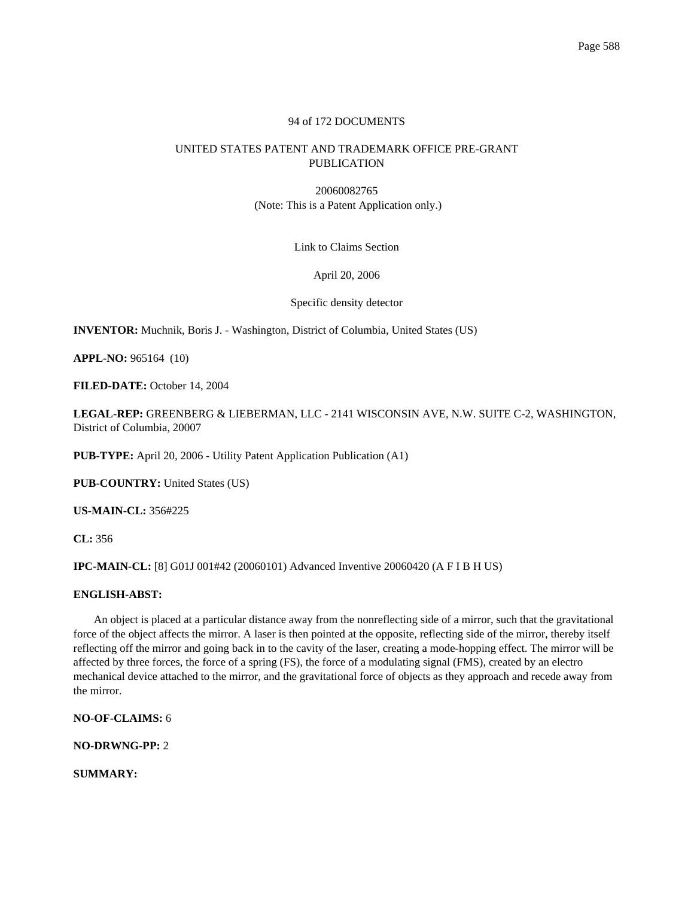## 94 of 172 DOCUMENTS

# UNITED STATES PATENT AND TRADEMARK OFFICE PRE-GRANT PUBLICATION

20060082765 (Note: This is a Patent Application only.)

Link to Claims Section

## April 20, 2006

Specific density detector

**INVENTOR:** Muchnik, Boris J. - Washington, District of Columbia, United States (US)

**APPL-NO:** 965164 (10)

**FILED-DATE:** October 14, 2004

**LEGAL-REP:** GREENBERG & LIEBERMAN, LLC - 2141 WISCONSIN AVE, N.W. SUITE C-2, WASHINGTON, District of Columbia, 20007

**PUB-TYPE:** April 20, 2006 - Utility Patent Application Publication (A1)

**PUB-COUNTRY:** United States (US)

**US-MAIN-CL:** 356#225

**CL:** 356

**IPC-MAIN-CL:** [8] G01J 001#42 (20060101) Advanced Inventive 20060420 (A F I B H US)

### **ENGLISH-ABST:**

An object is placed at a particular distance away from the nonreflecting side of a mirror, such that the gravitational force of the object affects the mirror. A laser is then pointed at the opposite, reflecting side of the mirror, thereby itself reflecting off the mirror and going back in to the cavity of the laser, creating a mode-hopping effect. The mirror will be affected by three forces, the force of a spring (FS), the force of a modulating signal (FMS), created by an electro mechanical device attached to the mirror, and the gravitational force of objects as they approach and recede away from the mirror.

**NO-OF-CLAIMS:** 6

**NO-DRWNG-PP:** 2

**SUMMARY:**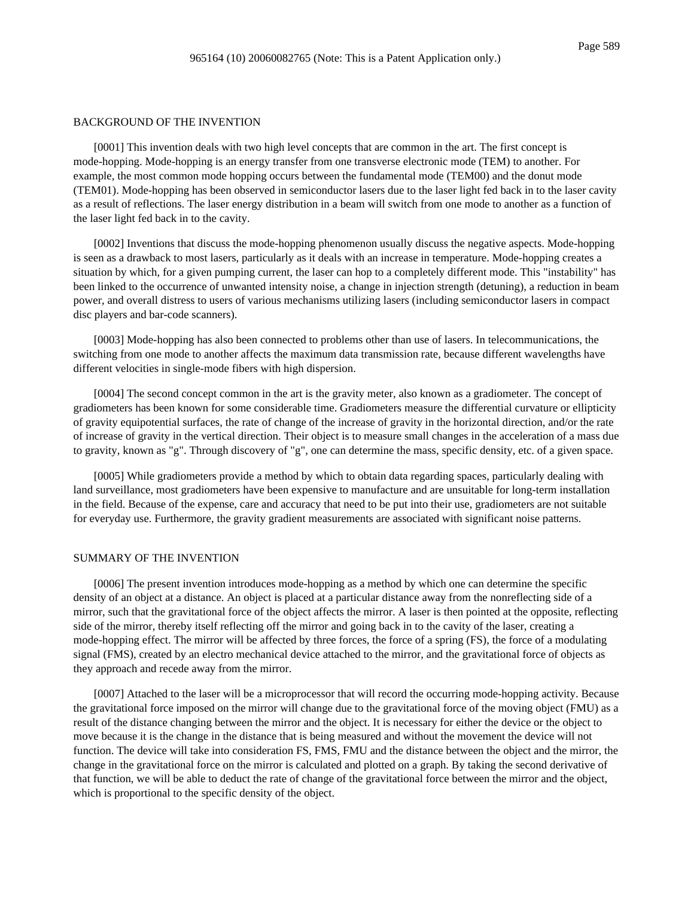### BACKGROUND OF THE INVENTION

[0001] This invention deals with two high level concepts that are common in the art. The first concept is mode-hopping. Mode-hopping is an energy transfer from one transverse electronic mode (TEM) to another. For example, the most common mode hopping occurs between the fundamental mode (TEM00) and the donut mode (TEM01). Mode-hopping has been observed in semiconductor lasers due to the laser light fed back in to the laser cavity as a result of reflections. The laser energy distribution in a beam will switch from one mode to another as a function of the laser light fed back in to the cavity.

[0002] Inventions that discuss the mode-hopping phenomenon usually discuss the negative aspects. Mode-hopping is seen as a drawback to most lasers, particularly as it deals with an increase in temperature. Mode-hopping creates a situation by which, for a given pumping current, the laser can hop to a completely different mode. This "instability" has been linked to the occurrence of unwanted intensity noise, a change in injection strength (detuning), a reduction in beam power, and overall distress to users of various mechanisms utilizing lasers (including semiconductor lasers in compact disc players and bar-code scanners).

[0003] Mode-hopping has also been connected to problems other than use of lasers. In telecommunications, the switching from one mode to another affects the maximum data transmission rate, because different wavelengths have different velocities in single-mode fibers with high dispersion.

[0004] The second concept common in the art is the gravity meter, also known as a gradiometer. The concept of gradiometers has been known for some considerable time. Gradiometers measure the differential curvature or ellipticity of gravity equipotential surfaces, the rate of change of the increase of gravity in the horizontal direction, and/or the rate of increase of gravity in the vertical direction. Their object is to measure small changes in the acceleration of a mass due to gravity, known as "g". Through discovery of "g", one can determine the mass, specific density, etc. of a given space.

[0005] While gradiometers provide a method by which to obtain data regarding spaces, particularly dealing with land surveillance, most gradiometers have been expensive to manufacture and are unsuitable for long-term installation in the field. Because of the expense, care and accuracy that need to be put into their use, gradiometers are not suitable for everyday use. Furthermore, the gravity gradient measurements are associated with significant noise patterns.

### SUMMARY OF THE INVENTION

[0006] The present invention introduces mode-hopping as a method by which one can determine the specific density of an object at a distance. An object is placed at a particular distance away from the nonreflecting side of a mirror, such that the gravitational force of the object affects the mirror. A laser is then pointed at the opposite, reflecting side of the mirror, thereby itself reflecting off the mirror and going back in to the cavity of the laser, creating a mode-hopping effect. The mirror will be affected by three forces, the force of a spring (FS), the force of a modulating signal (FMS), created by an electro mechanical device attached to the mirror, and the gravitational force of objects as they approach and recede away from the mirror.

[0007] Attached to the laser will be a microprocessor that will record the occurring mode-hopping activity. Because the gravitational force imposed on the mirror will change due to the gravitational force of the moving object (FMU) as a result of the distance changing between the mirror and the object. It is necessary for either the device or the object to move because it is the change in the distance that is being measured and without the movement the device will not function. The device will take into consideration FS, FMS, FMU and the distance between the object and the mirror, the change in the gravitational force on the mirror is calculated and plotted on a graph. By taking the second derivative of that function, we will be able to deduct the rate of change of the gravitational force between the mirror and the object, which is proportional to the specific density of the object.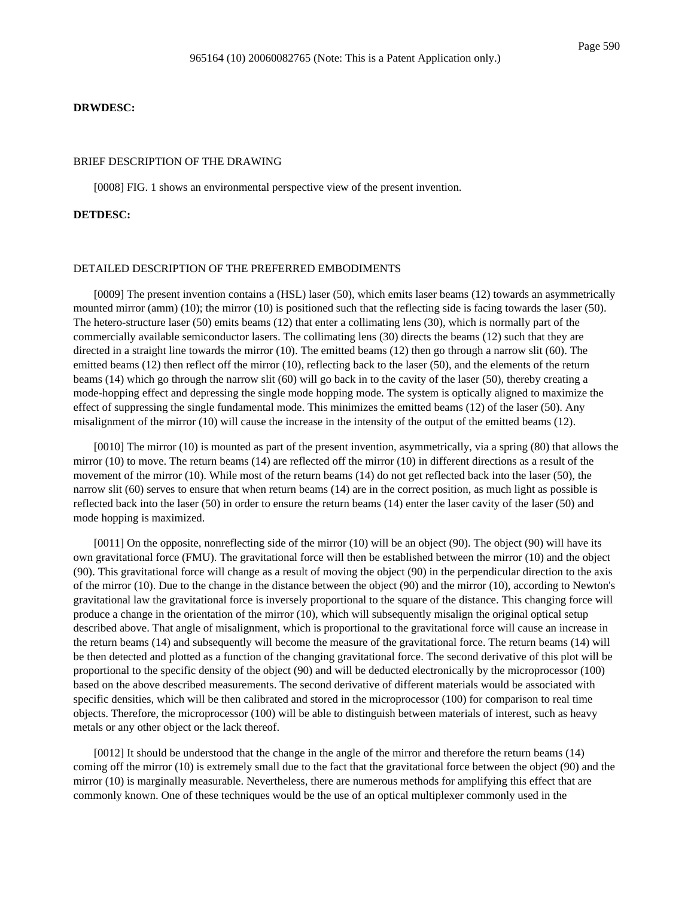**DRWDESC:**

### BRIEF DESCRIPTION OF THE DRAWING

[0008] FIG. 1 shows an environmental perspective view of the present invention.

#### **DETDESC:**

#### DETAILED DESCRIPTION OF THE PREFERRED EMBODIMENTS

[0009] The present invention contains a (HSL) laser (50), which emits laser beams (12) towards an asymmetrically mounted mirror (amm) (10); the mirror (10) is positioned such that the reflecting side is facing towards the laser (50). The hetero-structure laser (50) emits beams (12) that enter a collimating lens (30), which is normally part of the commercially available semiconductor lasers. The collimating lens (30) directs the beams (12) such that they are directed in a straight line towards the mirror (10). The emitted beams (12) then go through a narrow slit (60). The emitted beams (12) then reflect off the mirror (10), reflecting back to the laser (50), and the elements of the return beams (14) which go through the narrow slit (60) will go back in to the cavity of the laser (50), thereby creating a mode-hopping effect and depressing the single mode hopping mode. The system is optically aligned to maximize the effect of suppressing the single fundamental mode. This minimizes the emitted beams (12) of the laser (50). Any misalignment of the mirror (10) will cause the increase in the intensity of the output of the emitted beams (12).

[0010] The mirror (10) is mounted as part of the present invention, asymmetrically, via a spring (80) that allows the mirror (10) to move. The return beams (14) are reflected off the mirror (10) in different directions as a result of the movement of the mirror (10). While most of the return beams (14) do not get reflected back into the laser (50), the narrow slit (60) serves to ensure that when return beams (14) are in the correct position, as much light as possible is reflected back into the laser (50) in order to ensure the return beams (14) enter the laser cavity of the laser (50) and mode hopping is maximized.

[0011] On the opposite, nonreflecting side of the mirror (10) will be an object (90). The object (90) will have its own gravitational force (FMU). The gravitational force will then be established between the mirror (10) and the object (90). This gravitational force will change as a result of moving the object (90) in the perpendicular direction to the axis of the mirror (10). Due to the change in the distance between the object (90) and the mirror (10), according to Newton's gravitational law the gravitational force is inversely proportional to the square of the distance. This changing force will produce a change in the orientation of the mirror (10), which will subsequently misalign the original optical setup described above. That angle of misalignment, which is proportional to the gravitational force will cause an increase in the return beams (14) and subsequently will become the measure of the gravitational force. The return beams (14) will be then detected and plotted as a function of the changing gravitational force. The second derivative of this plot will be proportional to the specific density of the object (90) and will be deducted electronically by the microprocessor (100) based on the above described measurements. The second derivative of different materials would be associated with specific densities, which will be then calibrated and stored in the microprocessor (100) for comparison to real time objects. Therefore, the microprocessor (100) will be able to distinguish between materials of interest, such as heavy metals or any other object or the lack thereof.

[0012] It should be understood that the change in the angle of the mirror and therefore the return beams (14) coming off the mirror (10) is extremely small due to the fact that the gravitational force between the object (90) and the mirror (10) is marginally measurable. Nevertheless, there are numerous methods for amplifying this effect that are commonly known. One of these techniques would be the use of an optical multiplexer commonly used in the